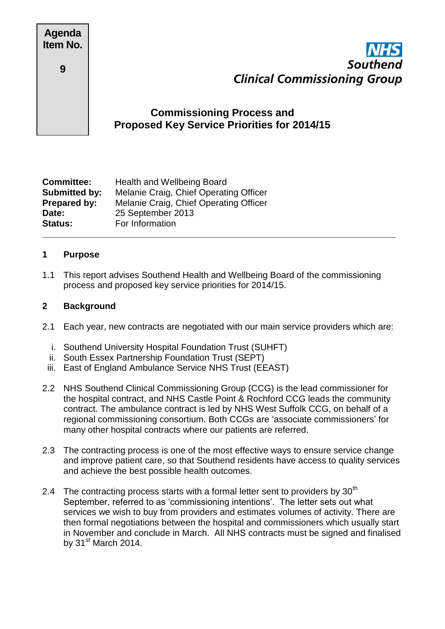| <b>Agenda</b> |  |
|---------------|--|
| Item No.      |  |

**9**



# **Commissioning Process and Proposed Key Service Priorities for 2014/15**

| <b>Committee:</b>    | <b>Health and Wellbeing Board</b>      |
|----------------------|----------------------------------------|
| <b>Submitted by:</b> | Melanie Craig, Chief Operating Officer |
| Prepared by:         | Melanie Craig, Chief Operating Officer |
| Date:                | 25 September 2013                      |
| <b>Status:</b>       | For Information                        |
|                      |                                        |

### **1 Purpose**

1.1 This report advises Southend Health and Wellbeing Board of the commissioning process and proposed key service priorities for 2014/15.

### **2 Background**

- 2.1 Each year, new contracts are negotiated with our main service providers which are:
	- i. Southend University Hospital Foundation Trust (SUHFT)
	- ii. South Essex Partnership Foundation Trust (SEPT)
	- iii. East of England Ambulance Service NHS Trust (EEAST)
- 2.2 NHS Southend Clinical Commissioning Group (CCG) is the lead commissioner for the hospital contract, and NHS Castle Point & Rochford CCG leads the community contract. The ambulance contract is led by NHS West Suffolk CCG, on behalf of a regional commissioning consortium. Both CCGs are 'associate commissioners' for many other hospital contracts where our patients are referred.
- 2.3 The contracting process is one of the most effective ways to ensure service change and improve patient care, so that Southend residents have access to quality services and achieve the best possible health outcomes.
- 2.4 The contracting process starts with a formal letter sent to providers by  $30<sup>th</sup>$ September, referred to as 'commissioning intentions'. The letter sets out what services we wish to buy from providers and estimates volumes of activity. There are then formal negotiations between the hospital and commissioners which usually start in November and conclude in March. All NHS contracts must be signed and finalised by  $31<sup>st</sup>$  March 2014.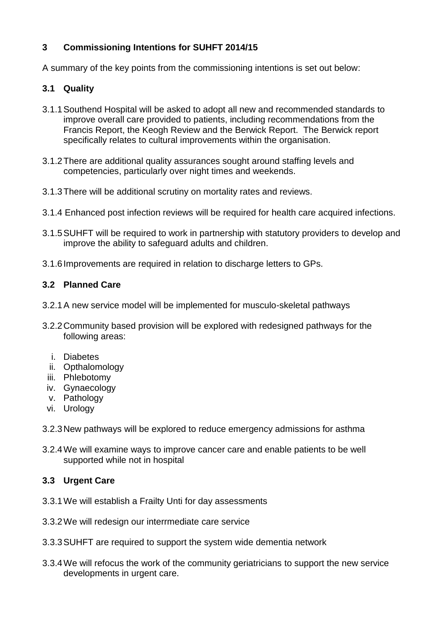## **3 Commissioning Intentions for SUHFT 2014/15**

A summary of the key points from the commissioning intentions is set out below:

### **3.1 Quality**

- 3.1.1Southend Hospital will be asked to adopt all new and recommended standards to improve overall care provided to patients, including recommendations from the Francis Report, the Keogh Review and the Berwick Report. The Berwick report specifically relates to cultural improvements within the organisation.
- 3.1.2There are additional quality assurances sought around staffing levels and competencies, particularly over night times and weekends.
- 3.1.3There will be additional scrutiny on mortality rates and reviews.
- 3.1.4 Enhanced post infection reviews will be required for health care acquired infections.
- 3.1.5SUHFT will be required to work in partnership with statutory providers to develop and improve the ability to safeguard adults and children.
- 3.1.6Improvements are required in relation to discharge letters to GPs.

### **3.2 Planned Care**

- 3.2.1A new service model will be implemented for musculo-skeletal pathways
- 3.2.2Community based provision will be explored with redesigned pathways for the following areas:
	- i. Diabetes
	- ii. Opthalomology
	- iii. Phlebotomy
	- iv. Gynaecology
	- v. Pathology
	- vi. Urology
- 3.2.3New pathways will be explored to reduce emergency admissions for asthma
- 3.2.4We will examine ways to improve cancer care and enable patients to be well supported while not in hospital

## **3.3 Urgent Care**

- 3.3.1We will establish a Frailty Unti for day assessments
- 3.3.2We will redesign our interrmediate care service
- 3.3.3SUHFT are required to support the system wide dementia network
- 3.3.4We will refocus the work of the community geriatricians to support the new service developments in urgent care.